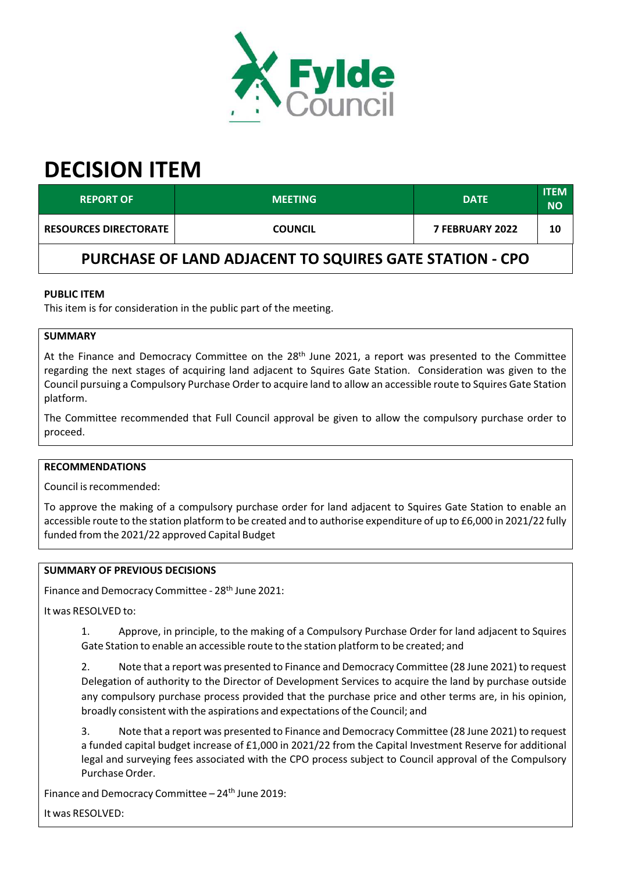

# **DECISION ITEM**

| <b>REPORT OF</b>                                        | <b>MEETING</b> | <b>DATE</b>            | <b>ITEM</b><br><b>NO</b> |  |  |
|---------------------------------------------------------|----------------|------------------------|--------------------------|--|--|
| <b>RESOURCES DIRECTORATE</b>                            | <b>COUNCIL</b> | <b>7 FEBRUARY 2022</b> | 10                       |  |  |
| PURCHASE OF LAND ADJACENT TO SQUIRES GATE STATION - CPO |                |                        |                          |  |  |

# **PUBLIC ITEM**

This item is for consideration in the public part of the meeting.

# **SUMMARY**

At the Finance and Democracy Committee on the 28<sup>th</sup> June 2021, a report was presented to the Committee regarding the next stages of acquiring land adjacent to Squires Gate Station. Consideration was given to the Council pursuing a Compulsory Purchase Order to acquire land to allow an accessible route to Squires Gate Station platform.

The Committee recommended that Full Council approval be given to allow the compulsory purchase order to proceed.

### **RECOMMENDATIONS**

Council isrecommended:

To approve the making of a compulsory purchase order for land adjacent to Squires Gate Station to enable an accessible route to the station platform to be created and to authorise expenditure of up to £6,000 in 2021/22 fully funded from the 2021/22 approved Capital Budget

### **SUMMARY OF PREVIOUS DECISIONS**

Finance and Democracy Committee - 28<sup>th</sup> June 2021:

It was RESOLVED to:

1. Approve, in principle, to the making of a Compulsory Purchase Order for land adjacent to Squires Gate Station to enable an accessible route to the station platform to be created; and

2. Note that a report was presented to Finance and Democracy Committee (28 June 2021) to request Delegation of authority to the Director of Development Services to acquire the land by purchase outside any compulsory purchase process provided that the purchase price and other terms are, in his opinion, broadly consistent with the aspirations and expectations of the Council; and

3. Note that a report was presented to Finance and Democracy Committee (28 June 2021) to request a funded capital budget increase of £1,000 in 2021/22 from the Capital Investment Reserve for additional legal and surveying fees associated with the CPO process subject to Council approval of the Compulsory Purchase Order.

Finance and Democracy Committee - 24<sup>th</sup> June 2019:

It was RESOLVED: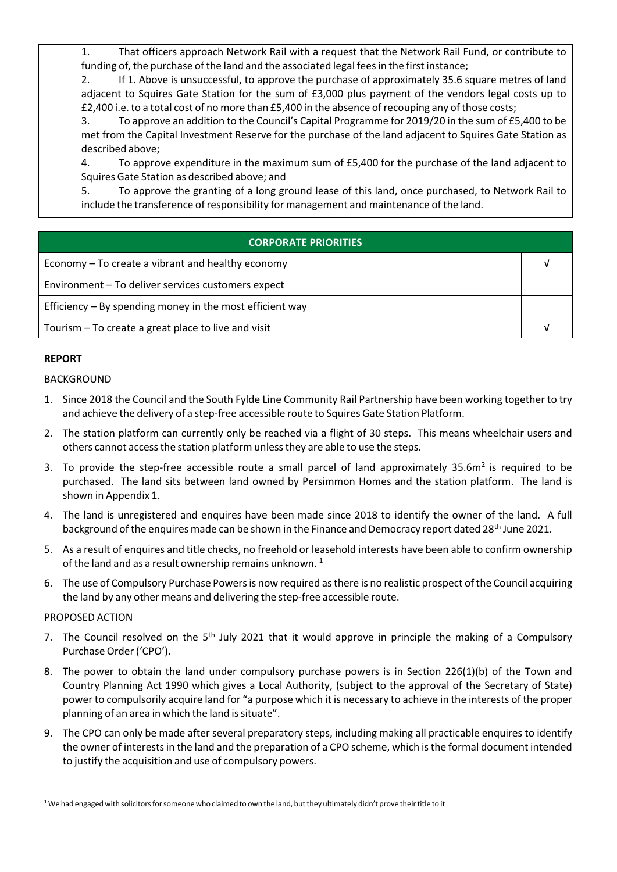1. That officers approach Network Rail with a request that the Network Rail Fund, or contribute to funding of, the purchase of the land and the associated legal fees in the first instance;

2. If 1. Above is unsuccessful, to approve the purchase of approximately 35.6 square metres of land adjacent to Squires Gate Station for the sum of £3,000 plus payment of the vendors legal costs up to £2,400 i.e. to a total cost of no more than £5,400 in the absence ofrecouping any of those costs;

3. To approve an addition to the Council's Capital Programme for 2019/20 in the sum of £5,400 to be met from the Capital Investment Reserve for the purchase of the land adjacent to Squires Gate Station as described above;

4. To approve expenditure in the maximum sum of £5,400 for the purchase of the land adjacent to Squires Gate Station as described above; and

5. To approve the granting of a long ground lease of this land, once purchased, to Network Rail to include the transference ofresponsibility for management and maintenance of the land.

# **CORPORATE PRIORITIES**

| Economy – To create a vibrant and healthy economy          |  |
|------------------------------------------------------------|--|
| Environment - To deliver services customers expect         |  |
| Efficiency $-$ By spending money in the most efficient way |  |
| Tourism - To create a great place to live and visit        |  |

## **REPORT**

### BACKGROUND

- 1. Since 2018 the Council and the South Fylde Line Community Rail Partnership have been working together to try and achieve the delivery of a step-free accessible route to Squires Gate Station Platform.
- 2. The station platform can currently only be reached via a flight of 30 steps. This means wheelchair users and others cannot access the station platform unless they are able to use the steps.
- 3. To provide the step-free accessible route a small parcel of land approximately 35.6m<sup>2</sup> is required to be purchased. The land sits between land owned by Persimmon Homes and the station platform. The land is shown in Appendix 1.
- 4. The land is unregistered and enquires have been made since 2018 to identify the owner of the land. A full background of the enquires made can be shown in the Finance and Democracy report dated 28<sup>th</sup> June 2021.
- 5. As a result of enquires and title checks, no freehold or leasehold interests have been able to confirm ownership of the land and as a result ownership remains unknown.  $^1$
- 6. The use of Compulsory Purchase Powersis now required asthere is no realistic prospect of the Council acquiring the land by any other means and delivering the step‐free accessible route.

## PROPOSED ACTION

- 7. The Council resolved on the 5<sup>th</sup> July 2021 that it would approve in principle the making of a Compulsory Purchase Order('CPO').
- 8. The power to obtain the land under compulsory purchase powers is in Section 226(1)(b) of the Town and Country Planning Act 1990 which gives a Local Authority, (subject to the approval of the Secretary of State) power to compulsorily acquire land for "a purpose which it is necessary to achieve in the interests of the proper planning of an area in which the land is situate".
- 9. The CPO can only be made after several preparatory steps, including making all practicable enquires to identify the owner of interestsin the land and the preparation of a CPO scheme, which isthe formal document intended to justify the acquisition and use of compulsory powers.

<sup>&</sup>lt;sup>1</sup> We had engaged with solicitors for someone who claimed to own the land, but they ultimately didn't prove their title to it